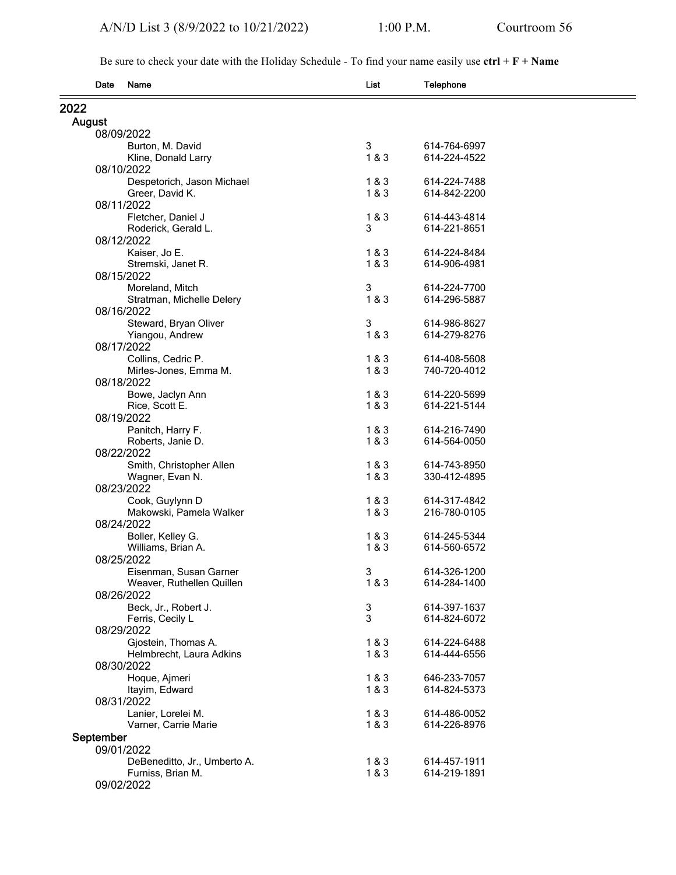Be sure to check your date with the Holiday Schedule - To find your name easily use **ctrl + F + Name**

| Date      | Name                                     | List   | Telephone                    |  |
|-----------|------------------------------------------|--------|------------------------------|--|
| 2022      |                                          |        |                              |  |
| August    |                                          |        |                              |  |
|           | 08/09/2022                               |        |                              |  |
|           | Burton, M. David                         | 3      | 614-764-6997                 |  |
|           | Kline, Donald Larry                      | 1&8&3  | 614-224-4522                 |  |
|           | 08/10/2022                               |        |                              |  |
|           | Despetorich, Jason Michael               | 1&3    | 614-224-7488                 |  |
|           | Greer, David K.                          | 1&8&3  | 614-842-2200                 |  |
|           | 08/11/2022                               |        |                              |  |
|           | Fletcher, Daniel J                       | 1&8&3  | 614-443-4814                 |  |
|           | Roderick, Gerald L.                      | 3      | 614-221-8651                 |  |
|           | 08/12/2022                               | 1&3    | 614-224-8484                 |  |
|           | Kaiser, Jo E.<br>Stremski, Janet R.      | 1&8&3  | 614-906-4981                 |  |
|           | 08/15/2022                               |        |                              |  |
|           | Moreland, Mitch                          | 3      | 614-224-7700                 |  |
|           | Stratman, Michelle Delery                | 1&8&3  | 614-296-5887                 |  |
|           | 08/16/2022                               |        |                              |  |
|           | Steward, Bryan Oliver                    | 3      | 614-986-8627                 |  |
|           | Yiangou, Andrew                          | 1&8&3  | 614-279-8276                 |  |
|           | 08/17/2022                               |        |                              |  |
|           | Collins, Cedric P.                       | 1&3    | 614-408-5608                 |  |
|           | Mirles-Jones, Emma M.                    | 1&3    | 740-720-4012                 |  |
|           | 08/18/2022                               |        |                              |  |
|           | Bowe, Jaclyn Ann                         | 1&8&3  | 614-220-5699                 |  |
|           | Rice, Scott E.                           | 1&8&3  | 614-221-5144                 |  |
|           | 08/19/2022                               | 1&8&3  |                              |  |
|           | Panitch, Harry F.<br>Roberts, Janie D.   | 1&8&3  | 614-216-7490<br>614-564-0050 |  |
|           | 08/22/2022                               |        |                              |  |
|           | Smith, Christopher Allen                 | 1&3    | 614-743-8950                 |  |
|           | Wagner, Evan N.                          | 1&3    | 330-412-4895                 |  |
|           | 08/23/2022                               |        |                              |  |
|           | Cook, Guylynn D                          | 1&3    | 614-317-4842                 |  |
|           | Makowski, Pamela Walker                  | 1&8&3  | 216-780-0105                 |  |
|           | 08/24/2022                               |        |                              |  |
|           | Boller, Kelley G.                        | 1&3    | 614-245-5344                 |  |
|           | Williams, Brian A.                       | 1&3    | 614-560-6572                 |  |
|           | 08/25/2022                               |        |                              |  |
|           | Eisenman, Susan Garner                   | 3      | 614-326-1200                 |  |
|           | Weaver, Ruthellen Quillen                | 1&3    | 614-284-1400                 |  |
|           | 08/26/2022                               |        |                              |  |
|           | Beck, Jr., Robert J.<br>Ferris, Cecily L | 3<br>3 | 614-397-1637<br>614-824-6072 |  |
|           | 08/29/2022                               |        |                              |  |
|           | Gjostein, Thomas A.                      | 1&3    | 614-224-6488                 |  |
|           | Helmbrecht, Laura Adkins                 | 1&3    | 614-444-6556                 |  |
|           | 08/30/2022                               |        |                              |  |
|           | Hoque, Ajmeri                            | 1 & 3  | 646-233-7057                 |  |
|           | Itayim, Edward                           | 1&8&3  | 614-824-5373                 |  |
|           | 08/31/2022                               |        |                              |  |
|           | Lanier, Lorelei M.                       | 1&3    | 614-486-0052                 |  |
|           | Varner, Carrie Marie                     | 1&3    | 614-226-8976                 |  |
| September |                                          |        |                              |  |
|           | 09/01/2022                               |        |                              |  |
|           | DeBeneditto, Jr., Umberto A.             | 1 & 3  | 614-457-1911                 |  |
|           | Furniss, Brian M.                        | 1&8&3  | 614-219-1891                 |  |
|           | 09/02/2022                               |        |                              |  |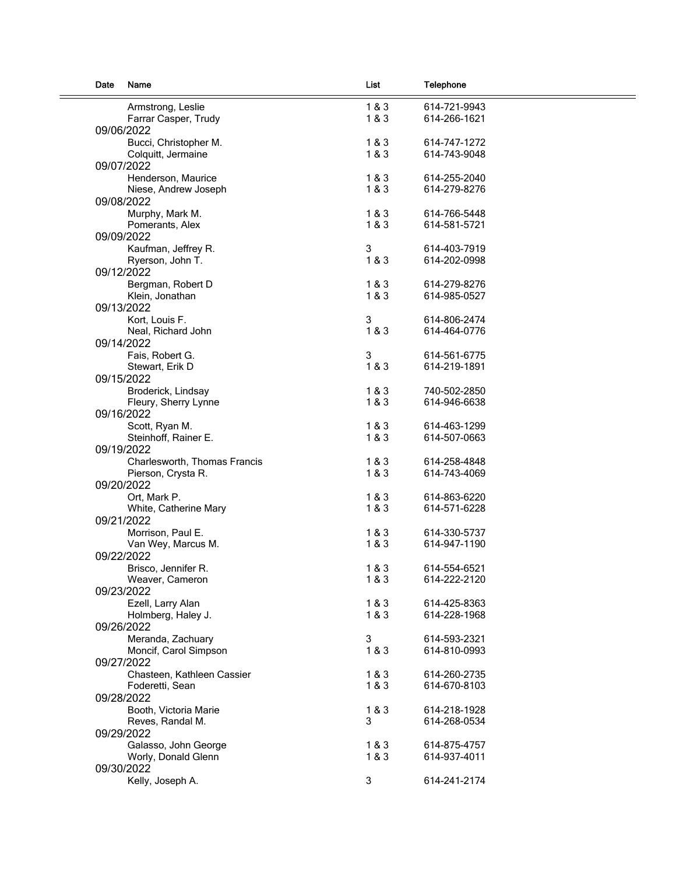| Date | Name                         | List  | Telephone    |
|------|------------------------------|-------|--------------|
|      | Armstrong, Leslie            | 1&3   | 614-721-9943 |
|      | Farrar Casper, Trudy         | 1&3   | 614-266-1621 |
|      | 09/06/2022                   |       |              |
|      | Bucci, Christopher M.        | 1&3   | 614-747-1272 |
|      | Colquitt, Jermaine           | 1&3   | 614-743-9048 |
|      | 09/07/2022                   |       |              |
|      | Henderson, Maurice           | 1&3   | 614-255-2040 |
|      | Niese, Andrew Joseph         | 1 & 3 | 614-279-8276 |
|      | 09/08/2022                   |       |              |
|      | Murphy, Mark M.              | 1 & 3 | 614-766-5448 |
|      | Pomerants, Alex              | 1&3   | 614-581-5721 |
|      | 09/09/2022                   |       |              |
|      | Kaufman, Jeffrey R.          | 3     | 614-403-7919 |
|      | Ryerson, John T.             | 1 & 3 | 614-202-0998 |
|      | 09/12/2022                   |       |              |
|      | Bergman, Robert D            | 1&3   | 614-279-8276 |
|      | Klein, Jonathan              | 1&3   | 614-985-0527 |
|      | 09/13/2022                   |       |              |
|      | Kort, Louis F.               | 3     | 614-806-2474 |
|      | Neal, Richard John           | 1 & 3 | 614-464-0776 |
|      | 09/14/2022                   |       |              |
|      | Fais, Robert G.              | 3     | 614-561-6775 |
|      | Stewart, Erik D              | 1 & 3 | 614-219-1891 |
|      | 09/15/2022                   |       |              |
|      |                              |       |              |
|      | Broderick, Lindsay           | 1&3   | 740-502-2850 |
|      | Fleury, Sherry Lynne         | 1&3   | 614-946-6638 |
|      | 09/16/2022                   |       |              |
|      | Scott, Ryan M.               | 1&3   | 614-463-1299 |
|      | Steinhoff, Rainer E.         | 1 & 3 | 614-507-0663 |
|      | 09/19/2022                   |       |              |
|      | Charlesworth, Thomas Francis | 1&3   | 614-258-4848 |
|      | Pierson, Crysta R.           | 1 & 3 | 614-743-4069 |
|      | 09/20/2022                   |       |              |
|      | Ort, Mark P.                 | 1&3   | 614-863-6220 |
|      | White, Catherine Mary        | 1&3   | 614-571-6228 |
|      | 09/21/2022                   |       |              |
|      | Morrison, Paul E.            | 1&3   | 614-330-5737 |
|      | Van Wey, Marcus M.           | 1 & 3 | 614-947-1190 |
|      | 09/22/2022                   |       |              |
|      | Brisco, Jennifer R.          | 1 & 3 | 614-554-6521 |
|      | Weaver, Cameron              | 1 & 3 | 614-222-2120 |
|      | 09/23/2022                   |       |              |
|      | Ezell, Larry Alan            | 1 & 3 | 614-425-8363 |
|      | Holmberg, Haley J.           | 1&3   | 614-228-1968 |
|      | 09/26/2022                   |       |              |
|      | Meranda, Zachuary            | 3     | 614-593-2321 |
|      | Moncif, Carol Simpson        | 1 & 3 | 614-810-0993 |
|      | 09/27/2022                   |       |              |
|      | Chasteen, Kathleen Cassier   | 1&3   | 614-260-2735 |
|      | Foderetti, Sean              | 1 & 3 | 614-670-8103 |
|      | 09/28/2022                   |       |              |
|      | Booth, Victoria Marie        | 1 & 3 | 614-218-1928 |
|      | Reves, Randal M.             | 3     | 614-268-0534 |
|      | 09/29/2022                   |       |              |
|      | Galasso, John George         | 1&3   | 614-875-4757 |
|      | Worly, Donald Glenn          | 1&3   | 614-937-4011 |
|      | 09/30/2022                   |       |              |
|      | Kelly, Joseph A.             | 3     | 614-241-2174 |
|      |                              |       |              |